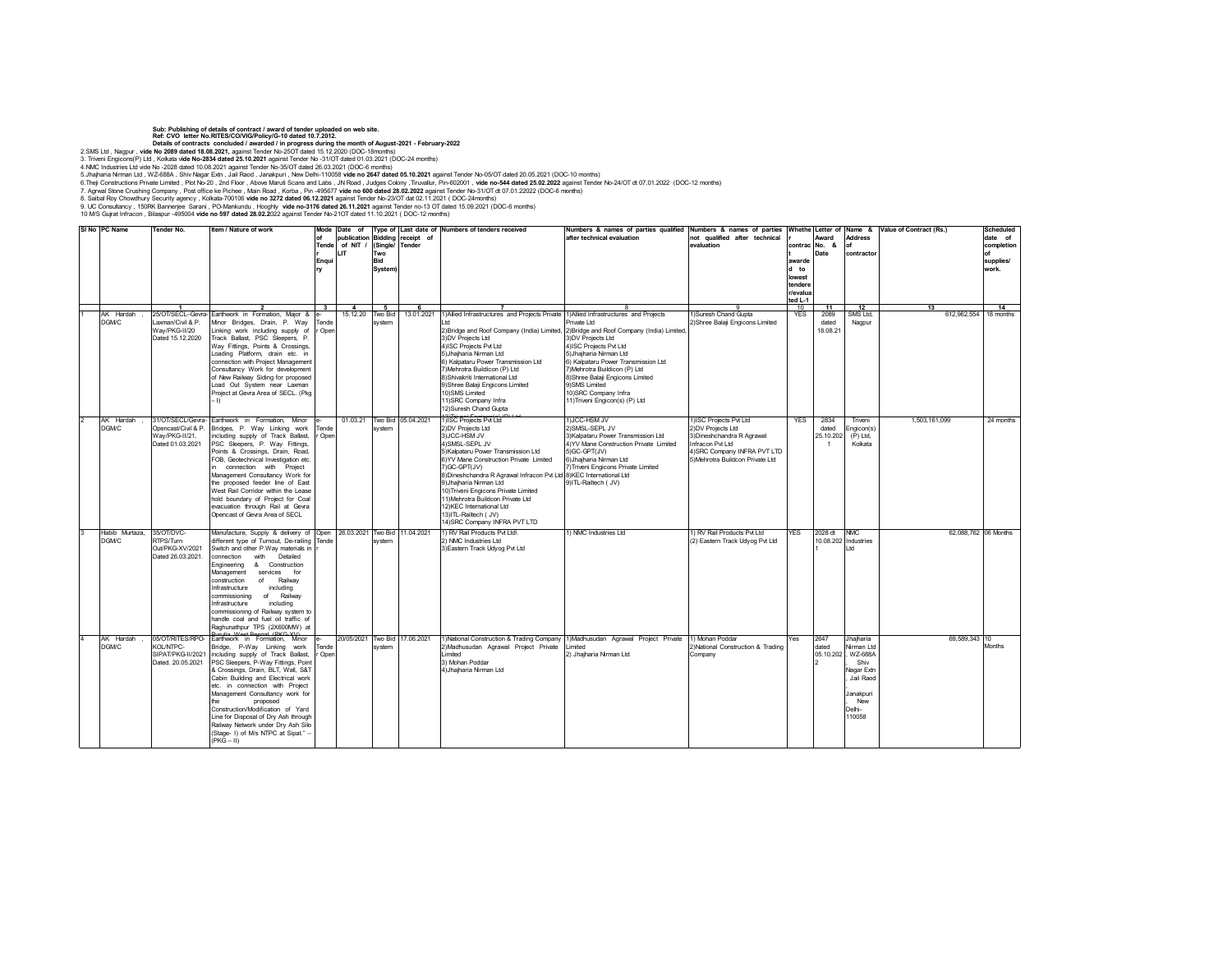## Sub: Publishing of details of contract / award of tender uploaded on web site.<br>Ref: CVO letter No.RITES/COVIGIPolicyiG-10 dated 10.7.2012.<br>Details of contracts concluded / awarded / in progress during the month of August-

2.SMS Ltd , Nagpur , **vide No 2089 dated 18.08.2021,** against Tender No-25OT dated 15.12.2020 (DOC-18months)

3. Triveni Engicons(P) Ltd., Kokata v**ide No-2834 dated 25.10.2021** against Tender No -31/OT dated 01.03.2021 (DOC-24 months)<br>4.MMC Industries Ltd vide No -2028 dated 10.08.2021 against Tender No-3501 (Socket 2000-26 mont

6.Theji Constructions Private Limited , Plot No-20 , 2nd Floor , Above Maruti Scans and Labs , JN Road , Judges Colony ,Tiruvallur, Pin-602001 , v**ide no-544 dated 25.02.2022** against Tender No-24/OT dt 07.01.2022 (DOC-12

9. UC Consultancy , 150RK Bannerjee Sarani , PO-Mankundu , Hooghly **vide no-3176 dated 26.11.2021** against Tender no-13 OT dated 15.09.2021 (DOC-6 months)

10 M/S Gujrat Infracon , Bilaspur -495004 **vide no 597 dated 28.02.2**022 against Tender No-21OT dated 11.10.2021 ( DOC-12 months)

**Solution Slue Constraint Tender No. 4 Item / Nature of work of Tende r Enqui ry Date of Type of Last date of publication of NIT / LIT Bidding (Single/ receipt of Tender Two Bid System) Numbers of tenders received Numbers & names of parties qualified** *a*<br>Ter technical evaluation **Numbers & names of parties not qualified after technical evaluation Whethe r contrac t awarde d to lowest tendere r/evalua ted L-1 Letter of Award No. & Date Name & Address of contractor Alue of Contract (Rs.) Schedule date of completion of supplies/ work. 1 2 3 4 5 6 7** 8 9 10 **11 12 13 14** 1 AK Hardah , DGM/C 25/OT/SECL-Gev Laxman/Civil & P. Way/PKG-II/20 Dated 15.12.2020 Earthwork in Formation, Major & Minor Bridges, Drain, P. Way Linking work including supply of Track Ballast, PSC Sleepers, P. Way Fittings, Points & Crossings, .<br>ading Platform, drain etc. in right recome, committee in onsultancy Work for development of New Railway Siding for propos Load Out System near Laxman oject at Gevra Area of SECL. (Pkg – I) e-.<br>Tand Open 15.12.20 Two Bid system 13.01.2021 1)Allied Infrastructures and Projects Privat Ltd 2)Bridge and Roof Company (India) Limited, 3)DV Projects Ltd 4)ISC Projects Pvt Ltd .<br>5) Ihaiharia Nirman Ltd 6) Kalpataru Power Transmission Ltd 7)Mehrotra Buildicon (P) Ltd 8)Shivakriti International Ltd 9)Shree Balaji Engicons Limited 10)SMS Limited 11)SRC Company Infra 12)Suresh Chand Gupta 05.04.2021 1)ISC Projects Pvt Ltd )Allied Infrastructures and Project Private Ltd 2)Bridge and Roof Company (India) Limited, 3)DV Projects Ltd 4)ISC Projects Pvt Ltd .<br>Suhaiharia Nirman Ltd 6) Kalpataru Power Transmission Ltd 7)Mehrotra Buildicon (P) Ltd 8)Shree Balaji Engicons Limited 9)SMS Limited 10)SRC Company Infra 11)Triveni Engicon(s) (P) Ltd 1)Suresh Chand Gupta 2)Shree Balaji Engicons Limited YES 2089 dated datou SMS Ltd, Nagpur 612,962,554 18 months **AK Hardah** DGM/C 1/OT/SECL/Gevra encast/Civil & P. Way/PKG-II/21, Dated 01.03.2021 Earthwork in Formation, Minor dges, P. Way Linking work including supply of Track Ballast, PSC Sleepers, P. Way Fittings, Points & Crossings, Drain, Road, FOB, Geotechnical Investigation etc. connection with Project Management Consultancy Work for the proposed feeder line of East West Rail Corridor within the Lease hold boundary of Project for Coal evacuation through Rail at Gevra encast of Gevra Area of SECL e-Tende  $On$ 01.03.21 Two Bid system 2)DV Projects Ltd 3)JCC-HSM JV 4)SMSL-SEPL JV 5)Kalpataru Power Transmission Ltd 6)YV Mane Construction Private Limited 7)GC-GPT(JV) 8)Dineshchandra R Agrawal Infracon Pvt Ltd 9)Jhajharia Nirman Ltd 10)Triveni Engicons Private Limited 11)Mehrotra Buildcon Private Ltd 12)KEC International Ltd 13)ITL-Railtech ( JV) 14)SRC Company INFRA PVT LTD 1)JCC-HSM JV 2)SMSL-SEPL JV 3)Kalpataru Power Transmission Ltd 4)YV Mane Construction Private Limited 5)GC-GPT(JV) 6)Jhajharia Nirman Ltd 7)Triveni Engicons Private Limited 8)KEC International Ltd 9)ITL-Railtech ( JV) 1)ISC Projects Pvt Ltd 2)DV Projects Ltd 3)Dineshchandra R Agrawal Infracon Pvt Ltd 4)SRC Company INFRA PVT LTD 5)Mehrotra Buildcon Private Ltd YES 2834 dated 25.10.202 1 Triveni Engicon(s) (P) Ltd, Kolkata 1,503,161,099 24 months abib Mu DGM/C 35/OT/DVC-RTPS/Turn Out/PKG-XV/2021 Dated 26.03.2021. nufacture, Supply & delivery of different type of Turnout, De-railing Summary Press contract, and contract the<br>Witch and other P.Way materials in<br>Summection with Detailed nnection with Detailed<br>gineering & Construction & Construction **Management services for<br>onstruction of Railway** of Railway<br>including nfrastructure<br>:ommissioning commissioning of Railway Infrastructure including commissioning of Railway system to  $h$ andle coal and fuel oil traffic of Rahunathpur TPS (2X600MW) at Purulia, West Bengal, (PKG-XV) Earthwork in Formation, Minor Open Tend r 1.03.2021 Two Bid system 11.04.2021 1) RV Rail Products Pvt Ltd\ 2) NMC Industries Ltd 3)Eastern Track Udyog Pvt Ltd 1) RV Rail Products Pvt Ltd (2) Eastern Track Udyog Pvt Ltd 28 dt 10.08.202 Industries 1 NMC Ltd 62,088,762 06 Months K Hard DGM/C 05/OT/RITES/RPO-KOL/NTPC-SIPAT/PKG-II/2021 Dated. 20.05.2021 Bridge, P-Way Linking work including supply of Track Ballast, PSC Sleepers, P-Way Fittings, Point & Crossings, Drain, BLT, Wall, S&T Cabin Building and Electrical work etc. in connection with Project Management Consultancy work for proposed Construction/Modification of Yard Line for Disposal of Dry Ash through Railway Network under Dry Ash Silo (Stage- I) of M/s NTPC at Sipat." – (PKG – II) e-.<br>PD 0  $rac{1}{2}$ Two Bi system .06.2021 1)National Construction & Trading Compan 2)Madhusudan Agrawal Project Private Limited 3) Mohan Poddar 4)Jhajharia Nirman Ltd 1)Madhusudan Agrawal Project Private Limited 2) Jhajharia Nirman Ltd 1) Mohan Poddar 2)National Construction & Trading .<br>Company Yes 2647 –<br>ated 05.10.202 2 Jhajharia Nirman Ltd , WZ-688A , Shiv Nagar Extn Jail Raod Janakpuri , New Delhi-110058 69,589,343 10 Months